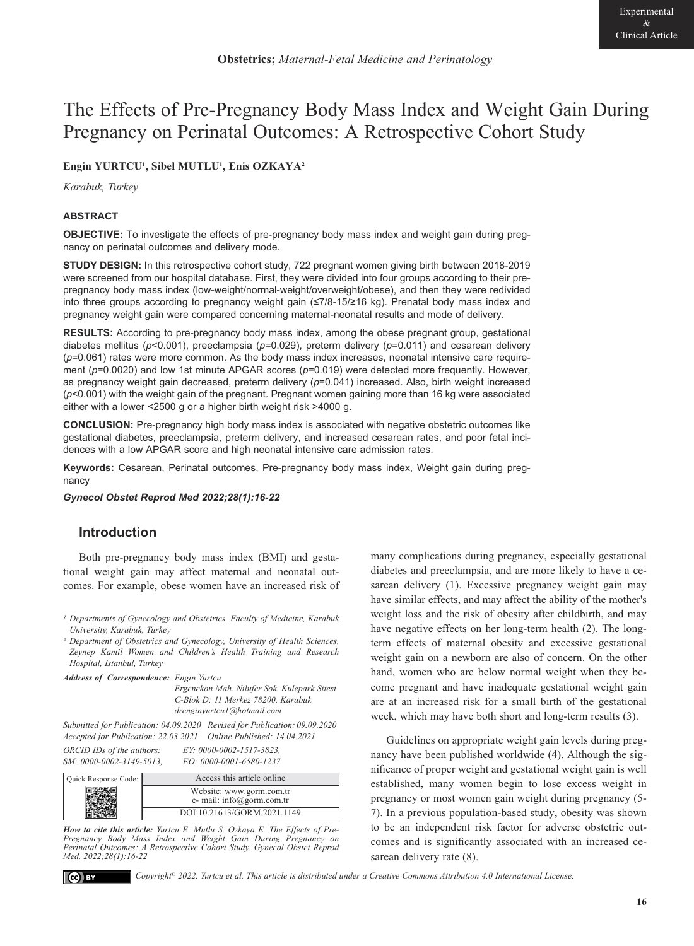# The Effects of Pre-Pregnancy Body Mass Index and Weight Gain During Pregnancy on Perinatal Outcomes: A Retrospective Cohort Study

## Engin YURTCU<sup>1</sup>, Sibel MUTLU<sup>1</sup>, Enis OZKAYA<sup>2</sup>

*Karabuk, Turkey* 

#### **ABSTRACT**

**OBJECTIVE:** To investigate the effects of pre-pregnancy body mass index and weight gain during pregnancy on perinatal outcomes and delivery mode.

**STUDY DESIGN:** In this retrospective cohort study, 722 pregnant women giving birth between 2018-2019 were screened from our hospital database. First, they were divided into four groups according to their prepregnancy body mass index (low-weight/normal-weight/overweight/obese), and then they were redivided into three groups according to pregnancy weight gain (≤7/8-15/≥16 kg). Prenatal body mass index and pregnancy weight gain were compared concerning maternal-neonatal results and mode of delivery.

**RESULTS:** According to pre-pregnancy body mass index, among the obese pregnant group, gestational diabetes mellitus (*p*<0.001), preeclampsia (*p*=0.029), preterm delivery (*p*=0.011) and cesarean delivery (*p*=0.061) rates were more common. As the body mass index increases, neonatal intensive care requirement ( $p=0.0020$ ) and low 1st minute APGAR scores ( $p=0.019$ ) were detected more frequently. However, as pregnancy weight gain decreased, preterm delivery (*p*=0.041) increased. Also, birth weight increased (*p*<0.001) with the weight gain of the pregnant. Pregnant women gaining more than 16 kg were associated either with a lower <2500 g or a higher birth weight risk >4000 g.

**CONCLUSION:** Pre-pregnancy high body mass index is associated with negative obstetric outcomes like gestational diabetes, preeclampsia, preterm delivery, and increased cesarean rates, and poor fetal incidences with a low APGAR score and high neonatal intensive care admission rates.

**Keywords:** Cesarean, Perinatal outcomes, Pre-pregnancy body mass index, Weight gain during pregnancy

*Gynecol Obstet Reprod Med 2022;28(1):16-22*

## **Introduction**

Both pre-pregnancy body mass index (BMI) and gestational weight gain may affect maternal and neonatal outcomes. For example, obese women have an increased risk of

*² Department of Obstetrics and Gynecology, University of Health Sciences, Zeynep Kamil Women and Children's Health Training and Research Hospital, Istanbul, Turkey* 

| <b>Address of Correspondence:</b> Engin Yurtcu |                                             |
|------------------------------------------------|---------------------------------------------|
|                                                | Ergenekon Mah. Nilufer Sok. Kulepark Sitesi |
|                                                | C-Blok D: 11 Merkez 78200. Karabuk          |
|                                                | drenginvurtcul@hotmail.com                  |

*Submitted for Publication: 04.09.2020 Revised for Publication: 09.09.2020 Accepted for Publication: 22.03.2021 Online Published: 14.04.2021* 

| ORCID IDs of the authors: | EY: 0000-0002-1517-3823, |
|---------------------------|--------------------------|
| SM: 0000-0002-3149-5013,  | EO: 0000-0001-6580-1237  |

| Quick Response Code: | Access this article online                            |
|----------------------|-------------------------------------------------------|
|                      | Website: www.gorm.com.tr<br>e- mail: info@gorm.com.tr |
|                      | DOI:10.21613/GORM.2021.1149                           |

*How to cite this article: Yurtcu E. Mutlu S. Ozkaya E. The Effects of Pre-Pregnancy Body Mass Index and Weight Gain During Pregnancy on Perinatal Outcomes: A Retrospective Cohort Study. Gynecol Obstet Reprod Med. 2022;28(1):16-22*

many complications during pregnancy, especially gestational diabetes and preeclampsia, and are more likely to have a cesarean delivery (1). Excessive pregnancy weight gain may have similar effects, and may affect the ability of the mother's weight loss and the risk of obesity after childbirth, and may have negative effects on her long-term health (2). The longterm effects of maternal obesity and excessive gestational weight gain on a newborn are also of concern. On the other hand, women who are below normal weight when they become pregnant and have inadequate gestational weight gain are at an increased risk for a small birth of the gestational week, which may have both short and long-term results (3).

Guidelines on appropriate weight gain levels during pregnancy have been published worldwide (4). Although the significance of proper weight and gestational weight gain is well established, many women begin to lose excess weight in pregnancy or most women gain weight during pregnancy (5- 7). In a previous population-based study, obesity was shown to be an independent risk factor for adverse obstetric outcomes and is significantly associated with an increased cesarean delivery rate (8).

 $|$  (cc)  $|$  BY

<sup>&</sup>lt;sup>1</sup> Departments of Gynecology and Obstetrics, Faculty of Medicine, Karabuk *University, Karabuk, Turkey*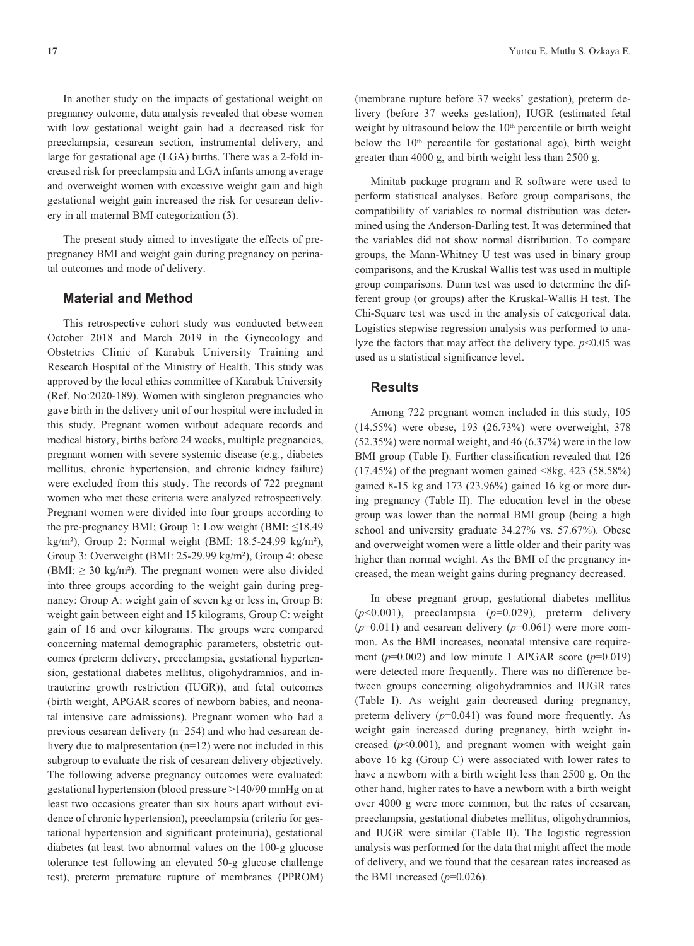In another study on the impacts of gestational weight on pregnancy outcome, data analysis revealed that obese women with low gestational weight gain had a decreased risk for preeclampsia, cesarean section, instrumental delivery, and large for gestational age (LGA) births. There was a 2-fold increased risk for preeclampsia and LGA infants among average and overweight women with excessive weight gain and high gestational weight gain increased the risk for cesarean delivery in all maternal BMI categorization (3).

The present study aimed to investigate the effects of prepregnancy BMI and weight gain during pregnancy on perinatal outcomes and mode of delivery.

## **Material and Method**

This retrospective cohort study was conducted between October 2018 and March 2019 in the Gynecology and Obstetrics Clinic of Karabuk University Training and Research Hospital of the Ministry of Health. This study was approved by the local ethics committee of Karabuk University (Ref. No:2020-189). Women with singleton pregnancies who gave birth in the delivery unit of our hospital were included in this study. Pregnant women without adequate records and medical history, births before 24 weeks, multiple pregnancies, pregnant women with severe systemic disease (e.g., diabetes mellitus, chronic hypertension, and chronic kidney failure) were excluded from this study. The records of 722 pregnant women who met these criteria were analyzed retrospectively. Pregnant women were divided into four groups according to the pre-pregnancy BMI; Group 1: Low weight (BMI:  $\leq$ 18.49 kg/m²), Group 2: Normal weight (BMI: 18.5-24.99 kg/m²), Group 3: Overweight (BMI: 25-29.99 kg/m²), Group 4: obese (BMI:  $\geq$  30 kg/m<sup>2</sup>). The pregnant women were also divided into three groups according to the weight gain during pregnancy: Group A: weight gain of seven kg or less in, Group B: weight gain between eight and 15 kilograms, Group C: weight gain of 16 and over kilograms. The groups were compared concerning maternal demographic parameters, obstetric outcomes (preterm delivery, preeclampsia, gestational hypertension, gestational diabetes mellitus, oligohydramnios, and intrauterine growth restriction (IUGR)), and fetal outcomes (birth weight, APGAR scores of newborn babies, and neonatal intensive care admissions). Pregnant women who had a previous cesarean delivery (n=254) and who had cesarean delivery due to malpresentation (n=12) were not included in this subgroup to evaluate the risk of cesarean delivery objectively. The following adverse pregnancy outcomes were evaluated: gestational hypertension (blood pressure >140/90 mmHg on at least two occasions greater than six hours apart without evidence of chronic hypertension), preeclampsia (criteria for gestational hypertension and significant proteinuria), gestational diabetes (at least two abnormal values on the 100-g glucose tolerance test following an elevated 50-g glucose challenge test), preterm premature rupture of membranes (PPROM) (membrane rupture before 37 weeks' gestation), preterm delivery (before 37 weeks gestation), IUGR (estimated fetal weight by ultrasound below the 10<sup>th</sup> percentile or birth weight below the  $10<sup>th</sup>$  percentile for gestational age), birth weight greater than 4000 g, and birth weight less than 2500 g.

Minitab package program and R software were used to perform statistical analyses. Before group comparisons, the compatibility of variables to normal distribution was determined using the Anderson-Darling test. It was determined that the variables did not show normal distribution. To compare groups, the Mann-Whitney U test was used in binary group comparisons, and the Kruskal Wallis test was used in multiple group comparisons. Dunn test was used to determine the different group (or groups) after the Kruskal-Wallis H test. The Chi-Square test was used in the analysis of categorical data. Logistics stepwise regression analysis was performed to analyze the factors that may affect the delivery type.  $p<0.05$  was used as a statistical significance level.

#### **Results**

Among 722 pregnant women included in this study, 105 (14.55%) were obese, 193 (26.73%) were overweight, 378 (52.35%) were normal weight, and 46 (6.37%) were in the low BMI group (Table I). Further classification revealed that 126  $(17.45\%)$  of the pregnant women gained <8kg, 423 (58.58%) gained 8-15 kg and 173 (23.96%) gained 16 kg or more during pregnancy (Table II). The education level in the obese group was lower than the normal BMI group (being a high school and university graduate 34.27% vs. 57.67%). Obese and overweight women were a little older and their parity was higher than normal weight. As the BMI of the pregnancy increased, the mean weight gains during pregnancy decreased.

In obese pregnant group, gestational diabetes mellitus (*p*<0.001), preeclampsia (*p*=0.029), preterm delivery  $(p=0.011)$  and cesarean delivery  $(p=0.061)$  were more common. As the BMI increases, neonatal intensive care requirement ( $p=0.002$ ) and low minute 1 APGAR score ( $p=0.019$ ) were detected more frequently. There was no difference between groups concerning oligohydramnios and IUGR rates (Table I). As weight gain decreased during pregnancy, preterm delivery (*p*=0.041) was found more frequently. As weight gain increased during pregnancy, birth weight increased  $(p<0.001)$ , and pregnant women with weight gain above 16 kg (Group C) were associated with lower rates to have a newborn with a birth weight less than 2500 g. On the other hand, higher rates to have a newborn with a birth weight over 4000 g were more common, but the rates of cesarean, preeclampsia, gestational diabetes mellitus, oligohydramnios, and IUGR were similar (Table II). The logistic regression analysis was performed for the data that might affect the mode of delivery, and we found that the cesarean rates increased as the BMI increased  $(p=0.026)$ .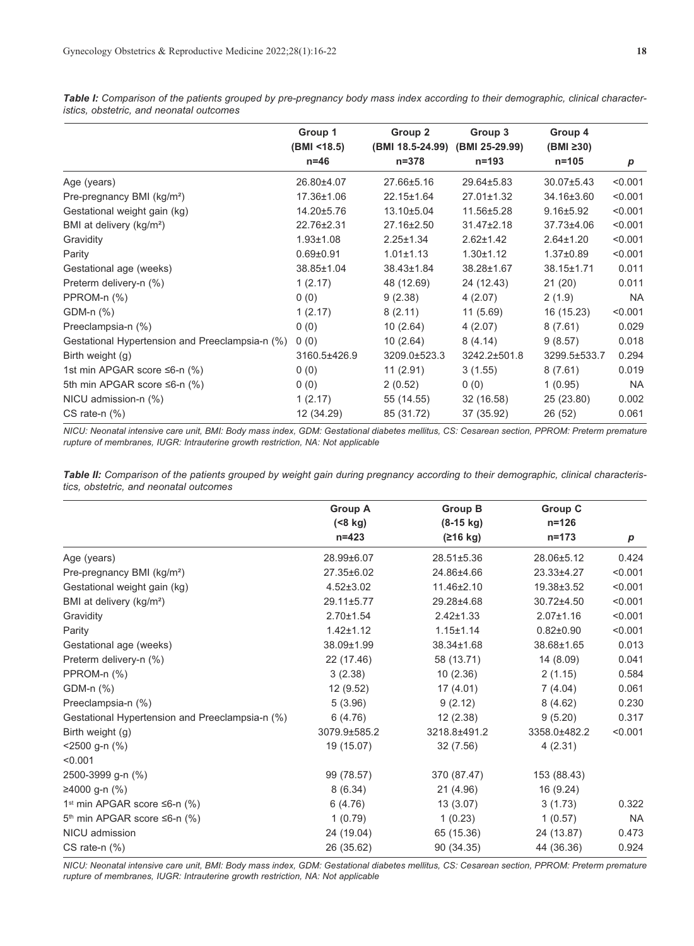*Table I: Comparison of the patients grouped by pre-pregnancy body mass index according to their demographic, clinical characteristics, obstetric, and neonatal outcomes*

|                                                 | Group 1               | Group 2                       | Group 3                     | Group 4                |           |
|-------------------------------------------------|-----------------------|-------------------------------|-----------------------------|------------------------|-----------|
|                                                 | (BMI <18.5)<br>$n=46$ | (BMI 18.5-24.99)<br>$n = 378$ | (BMI 25-29.99)<br>$n = 193$ | (BMI ≥30)<br>$n = 105$ | p         |
| Age (years)                                     | 26.80±4.07            | 27.66±5.16                    | 29.64±5.83                  | $30.07 \pm 5.43$       | < 0.001   |
| Pre-pregnancy BMI (kg/m <sup>2</sup> )          | 17.36±1.06            | $22.15 \pm 1.64$              | $27.01 \pm 1.32$            | 34.16±3.60             | < 0.001   |
| Gestational weight gain (kg)                    | 14.20±5.76            | 13.10±5.04                    | 11.56±5.28                  | $9.16 \pm 5.92$        | < 0.001   |
| BMI at delivery (kg/m <sup>2</sup> )            | 22.76±2.31            | 27.16±2.50                    | $31.47 \pm 2.18$            | 37.73±4.06             | < 0.001   |
| Gravidity                                       | $1.93 \pm 1.08$       | $2.25 \pm 1.34$               | $2.62 \pm 1.42$             | $2.64 \pm 1.20$        | < 0.001   |
| Parity                                          | $0.69 \pm 0.91$       | $1.01 \pm 1.13$               | $1.30 \pm 1.12$             | $1.37 \pm 0.89$        | < 0.001   |
| Gestational age (weeks)                         | 38.85±1.04            | 38.43±1.84                    | 38.28±1.67                  | 38.15±1.71             | 0.011     |
| Preterm delivery-n (%)                          | 1(2.17)               | 48 (12.69)                    | 24 (12.43)                  | 21(20)                 | 0.011     |
| PPROM-n (%)                                     | 0(0)                  | 9(2.38)                       | 4(2.07)                     | 2(1.9)                 | <b>NA</b> |
| GDM-n (%)                                       | 1(2.17)               | 8(2.11)                       | 11(5.69)                    | 16 (15.23)             | < 0.001   |
| Preeclampsia-n (%)                              | 0(0)                  | 10(2.64)                      | 4(2.07)                     | 8(7.61)                | 0.029     |
| Gestational Hypertension and Preeclampsia-n (%) | 0(0)                  | 10(2.64)                      | 8(4.14)                     | 9(8.57)                | 0.018     |
| Birth weight (g)                                | 3160.5±426.9          | 3209.0±523.3                  | 3242.2±501.8                | 3299.5±533.7           | 0.294     |
| 1st min APGAR score ≤6-n (%)                    | 0(0)                  | 11(2.91)                      | 3(1.55)                     | 8(7.61)                | 0.019     |
| 5th min APGAR score ≤6-n (%)                    | 0(0)                  | 2(0.52)                       | 0(0)                        | 1(0.95)                | NA        |
| NICU admission-n (%)                            | 1(2.17)               | 55 (14.55)                    | 32 (16.58)                  | 25 (23.80)             | 0.002     |
| CS rate-n $(\%)$                                | 12 (34.29)            | 85 (31.72)                    | 37 (35.92)                  | 26 (52)                | 0.061     |

*NICU: Neonatal intensive care unit, BMI: Body mass index, GDM: Gestational diabetes mellitus, CS: Cesarean section, PPROM: Preterm premature rupture of membranes, IUGR: Intrauterine growth restriction, NA: Not applicable* 

*Table II: Comparison of the patients grouped by weight gain during pregnancy according to their demographic, clinical characteristics, obstetric, and neonatal outcomes*

|                                                 | <b>Group A</b>    | <b>Group B</b>  | <b>Group C</b>  |                  |
|-------------------------------------------------|-------------------|-----------------|-----------------|------------------|
|                                                 | $( 8 \text{ kg})$ | $(8-15$ kg)     | $n = 126$       |                  |
|                                                 | $n = 423$         | (216 kg)        | $n = 173$       | $\boldsymbol{p}$ |
| Age (years)                                     | 28.99±6.07        | 28.51±5.36      | 28.06±5.12      | 0.424            |
| Pre-pregnancy BMI (kg/m <sup>2</sup> )          | 27.35±6.02        | 24.86±4.66      | 23.33±4.27      | < 0.001          |
| Gestational weight gain (kg)                    | $4.52 \pm 3.02$   | 11.46±2.10      | 19.38±3.52      | < 0.001          |
| BMI at delivery (kg/m <sup>2</sup> )            | 29.11±5.77        | 29.28±4.68      | 30.72±4.50      | < 0.001          |
| Gravidity                                       | $2.70 \pm 1.54$   | $2.42 \pm 1.33$ | $2.07 \pm 1.16$ | < 0.001          |
| Parity                                          | $1.42 \pm 1.12$   | $1.15 \pm 1.14$ | $0.82 \pm 0.90$ | < 0.001          |
| Gestational age (weeks)                         | 38.09±1.99        | 38.34±1.68      | 38.68±1.65      | 0.013            |
| Preterm delivery-n (%)                          | 22 (17.46)        | 58 (13.71)      | 14 (8.09)       | 0.041            |
| PPROM-n (%)                                     | 3(2.38)           | 10(2.36)        | 2(1.15)         | 0.584            |
| GDM-n (%)                                       | 12(9.52)          | 17(4.01)        | 7(4.04)         | 0.061            |
| Preeclampsia-n (%)                              | 5(3.96)           | 9(2.12)         | 8(4.62)         | 0.230            |
| Gestational Hypertension and Preeclampsia-n (%) | 6(4.76)           | 12(2.38)        | 9(5.20)         | 0.317            |
| Birth weight (g)                                | 3079.9±585.2      | 3218.8±491.2    | 3358.0±482.2    | < 0.001          |
| $<$ 2500 g-n (%)                                | 19 (15.07)        | 32 (7.56)       | 4(2.31)         |                  |
| < 0.001                                         |                   |                 |                 |                  |
| 2500-3999 g-n (%)                               | 99 (78.57)        | 370 (87.47)     | 153 (88.43)     |                  |
| ≥4000 g-n (%)                                   | 8(6.34)           | 21 (4.96)       | 16 (9.24)       |                  |
| 1 <sup>st</sup> min APGAR score ≤6-n (%)        | 6(4.76)           | 13(3.07)        | 3(1.73)         | 0.322            |
| 5 <sup>th</sup> min APGAR score ≤6-n (%)        | 1(0.79)           | 1(0.23)         | 1(0.57)         | <b>NA</b>        |
| NICU admission                                  | 24 (19.04)        | 65 (15.36)      | 24 (13.87)      | 0.473            |
| CS rate-n $(\%)$                                | 26 (35.62)        | 90 (34.35)      | 44 (36.36)      | 0.924            |

*NICU: Neonatal intensive care unit, BMI: Body mass index, GDM: Gestational diabetes mellitus, CS: Cesarean section, PPROM: Preterm premature rupture of membranes, IUGR: Intrauterine growth restriction, NA: Not applicable*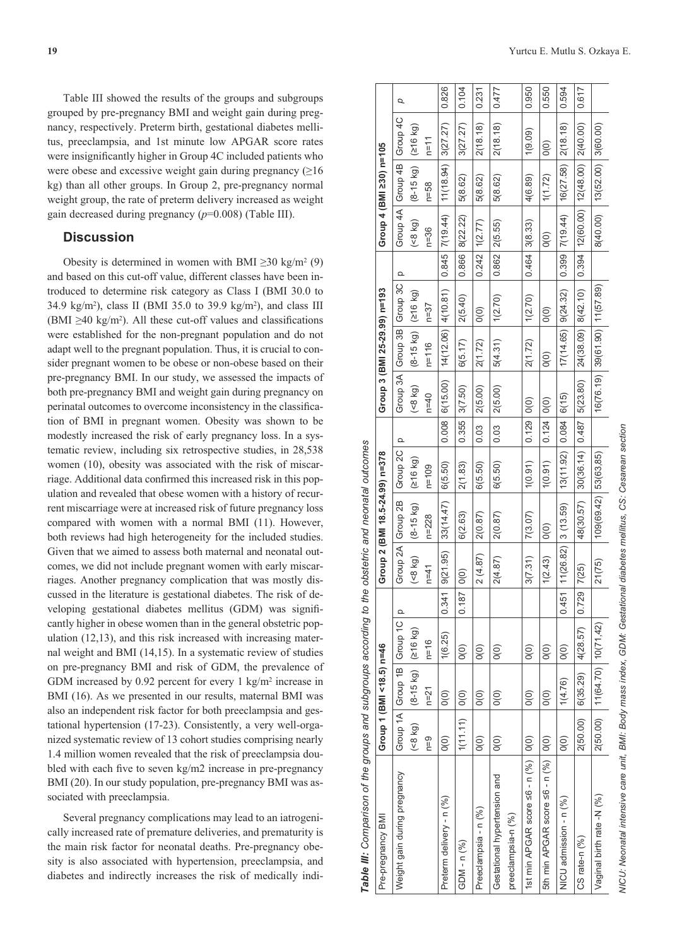Table III showed the results of the groups and subgroups grouped by pre-pregnancy BMI and weight gain during pregnancy, respectively. Preterm birth, gestational diabetes mellitus, preeclampsia, and 1st minute low APGAR score rates were insignificantly higher in Group 4C included patients who were obese and excessive weight gain during pregnancy  $(≥16$ kg) than all other groups. In Group 2, pre-pregnancy normal weight group, the rate of preterm delivery increased as weight gain decreased during pregnancy (*p*=0.008) (Table III).

## **Discussion**

Obesity is determined in women with BMI  $\geq$ 30 kg/m<sup>2</sup> (9) and based on this cut-off value, different classes have been introduced to determine risk category as Class I (BMI 30.0 to 34.9 kg/m2), class II (BMI 35.0 to 39.9 kg/m2), and class III (BMI  $\geq$ 40 kg/m<sup>2</sup>). All these cut-off values and classifications were established for the non-pregnant population and do not adapt well to the pregnant population. Thus, it is crucial to consider pregnant women to be obese or non-obese based on their pre-pregnancy BMI. In our study, we assessed the impacts of both pre-pregnancy BMI and weight gain during pregnancy on perinatal outcomes to overcome inconsistency in the classification of BMI in pregnant women. Obesity was shown to be modestly increased the risk of early pregnancy loss. In a systematic review, including six retrospective studies, in 28,538 women (10), obesity was associated with the risk of miscarriage. Additional data confirmed this increased risk in this population and revealed that obese women with a history of recurrent miscarriage were at increased risk of future pregnancy loss compared with women with a normal BMI (11). However, both reviews had high heterogeneity for the included studies. Given that we aimed to assess both maternal and neonatal outcomes, we did not include pregnant women with early miscarriages. Another pregnancy complication that was mostly discussed in the literature is gestational diabetes. The risk of developing gestational diabetes mellitus (GDM) was significantly higher in obese women than in the general obstetric population (12,13), and this risk increased with increasing maternal weight and BMI (14,15). In a systematic review of studies on pre-pregnancy BMI and risk of GDM, the prevalence of GDM increased by 0.92 percent for every 1 kg/m<sup>2</sup> increase in BMI (16). As we presented in our results, maternal BMI was also an independent risk factor for both preeclampsia and gestational hypertension (17-23). Consistently, a very well-organized systematic review of 13 cohort studies comprising nearly 1.4 million women revealed that the risk of preeclampsia doubled with each five to seven kg/m2 increase in pre-pregnancy BMI (20). In our study population, pre-pregnancy BMI was associated with preeclampsia.

Several pregnancy complications may lead to an iatrogenically increased rate of premature deliveries, and prematurity is the main risk factor for neonatal deaths. Pre-pregnancy obesity is also associated with hypertension, preeclampsia, and diabetes and indirectly increases the risk of medically indi-

| Pre-pregnancy BMI                                  |                             | Group 1 (BMI <18.5) n=46       |                    |             |                            | Group 2 (BMI 18.5-24.99) n=378 |                 |              | Group 3 (BMI 25-29.99) n=193    |                        |                    |                   |                    | Group 4 (BMI 230) n=105    |                    |        |
|----------------------------------------------------|-----------------------------|--------------------------------|--------------------|-------------|----------------------------|--------------------------------|-----------------|--------------|---------------------------------|------------------------|--------------------|-------------------|--------------------|----------------------------|--------------------|--------|
| Weight gain during pregnancy                       |                             | Group 1A Group 1B Group 1C     |                    | $\circ$     | Group 2A Group 2B          |                                | Group 2C        | $\Omega$     | Group 3A Group 3B Group 3C      |                        |                    | Ω                 |                    | Group 4A Group 4B Group 4C |                    | p      |
|                                                    | (68 kq)                     | $(8 - 15$ kg) $ $ (216 kg)     |                    |             | (68 kq)                    | $(8 - 15 kg)$                  | (216 kg)        |              | (68 k)                          | $(8-15$ kg)            | (216 kg)           |                   | (68 k)             | $(8-15$ kg)                | (516 kq)           |        |
|                                                    | n=9                         | $n=21$                         | $n = 16$           |             | $n=41$                     | $n = 228$                      | $n = 109$       |              | $n = 40$                        | $n = 116$              | $n=37$             |                   | $n = 36$           | $n = 58$                   | n=11               |        |
| Preterm delivery - n (%)                           | O(0)                        | $\widetilde{O}(0)$             | 1(6.25)            | 0.341       | 9(21.95)                   | 33(14.47)                      | 6(5.50)         | 0.008        | 6(15.00)                        | $14(12.06)$ $4(10.81)$ |                    |                   | $0.845$ $7(19.44)$ | 11(18.94)                  | 3(27.27)           | 0.826  |
| $GDM - n (%)$                                      | 1(11.11)                    | 0(0)                           | $\widetilde{O}(0)$ | 0.187       | 0(0)                       | 6(2.63)                        | 2(1.83)         | 0.355        | 3(7.50)                         | 6(5.17)                | 2(5.40)            | 0.866             | 8(22.22)           | 5(8.62)                    | 3(27.27)           | 0.104  |
| Preeclampsia - n (%)                               | $\widetilde{\mathrm{O}}(0)$ | $\widetilde{O}(0)$             | $\widetilde{O}(0)$ |             | 2(4.87)                    | 2(0.87)                        | 6(5.50)         | 0.03         | 2(5.00)                         | 2(1.72)                | $\widetilde{O}(0)$ | 0.242             | 1(2.77)            | 5(8.62)                    | 2(18.18)           | 0.231  |
| Gestational hypertension and<br>preeclampsia-n (%) | $\widetilde{O}(0)$          | $\widetilde{O}(0)$             | O(0)               |             | 2(4.87)                    | 2(0.87)                        | 6(5.50)         | 0.03         | 2(5.00)                         | 5(4.31)                | 1(2.70)            | $0.862$ $2(5.55)$ |                    | 5(8.62)                    | 2(18.18)           | 0.477  |
| 1st min APGAR score $\leq 6$ - n $(%)$   0(0)      |                             | $\widetilde{O}(0)$             | O(0)               |             | (7.31)<br>ᢆ                | 7(3.07)                        | 1(0.91)         | 0.129   0(0) |                                 | 2(1.72)                | 1(2.70)            | $0.464$ 3(8.33)   |                    | 4(6.89)                    | 1(9.09)            | 0.950  |
| 5th min APGAR score <6 - n (%)   0(0)              |                             | $\widetilde{O}(0)$             | O(0)               |             | (2.43)<br>$\overline{ }$   | $\widetilde{\mathrm{O}}(0)$    | (0.91)          | 0.124        | O(0)                            | $\widetilde{O}(0)$     | $\widetilde{O}(0)$ |                   | $\widetilde{O}(0)$ | 1(1.72)                    | $\widetilde{O}(0)$ | 0.550  |
| NICU admission - n (%)                             | $\widetilde{O}(0)$          | 1(4.76)                        | O(0)               | 0.451       | 1(26.82)<br>$\overline{ }$ | 3(13.59)                       | 13(11.92)       | 0.084        | 6(15)                           | 17(14.65)              | 9(24.32)           | 0.399             | 7(19.44)           | 16(27.58)                  | 2(18.18)           | 0.594  |
| CS rate-n (%)                                      | 2(50.00)                    | 6(35.29)  4(28.57)             |                    | 0.729 7(25) |                            | 48(30.57)                      | 30(36.14) 0.487 |              | 5(23.80)                        | 24(38.09)   8(42.10)   |                    | 0.394             |                    | $12(60.00)$   $12(48.00)$  | 2(40.00)           | 10.617 |
| Vaginal birth rate -N (%)                          |                             | $2(50.00)$ 11(64.70) 10(71,42) |                    |             | 1(75)<br>Ń                 | 109(69.42) 53(63,85)           |                 |              | $16(76.19)$ 39(61.90) 11(57.89) |                        |                    |                   | 8(40.00)           | 13(52.00)                  | 3(60.00)           |        |
|                                                    |                             |                                |                    |             |                            |                                |                 |              |                                 |                        |                    |                   |                    |                            |                    |        |

*Table III: Comparison of the groups and subgroups according to the obstetric and neonatal outcomes*

Table III: Comparison of the groups and subgroups according to the obstetric and neonatal outcomes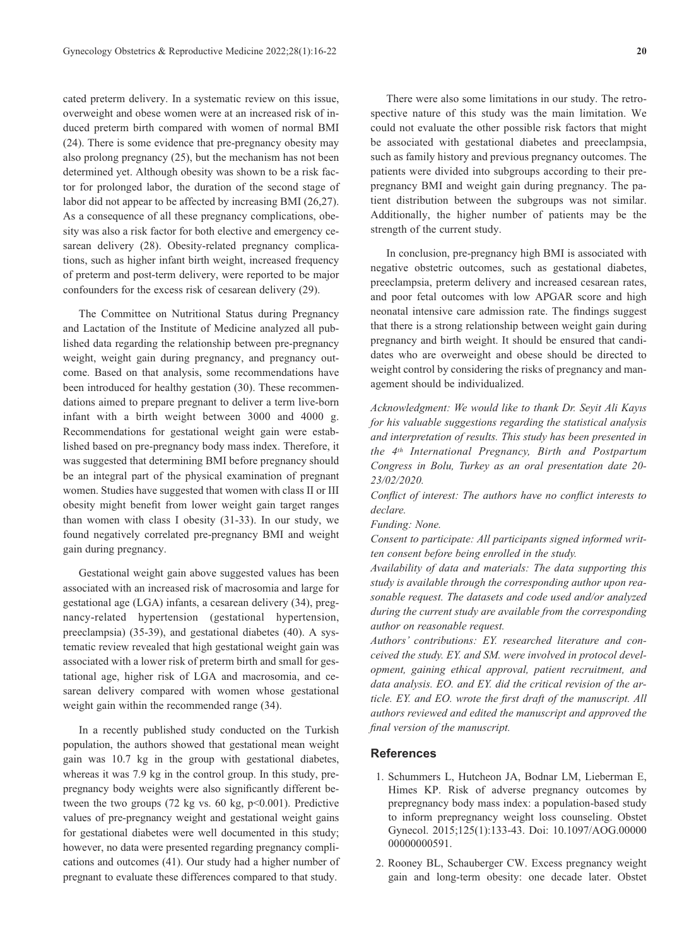cated preterm delivery. In a systematic review on this issue, overweight and obese women were at an increased risk of induced preterm birth compared with women of normal BMI (24). There is some evidence that pre-pregnancy obesity may also prolong pregnancy (25), but the mechanism has not been determined yet. Although obesity was shown to be a risk factor for prolonged labor, the duration of the second stage of labor did not appear to be affected by increasing BMI (26,27). As a consequence of all these pregnancy complications, obesity was also a risk factor for both elective and emergency cesarean delivery (28). Obesity-related pregnancy complications, such as higher infant birth weight, increased frequency of preterm and post-term delivery, were reported to be major confounders for the excess risk of cesarean delivery (29).

The Committee on Nutritional Status during Pregnancy and Lactation of the Institute of Medicine analyzed all published data regarding the relationship between pre-pregnancy weight, weight gain during pregnancy, and pregnancy outcome. Based on that analysis, some recommendations have been introduced for healthy gestation (30). These recommendations aimed to prepare pregnant to deliver a term live-born infant with a birth weight between 3000 and 4000 g. Recommendations for gestational weight gain were established based on pre-pregnancy body mass index. Therefore, it was suggested that determining BMI before pregnancy should be an integral part of the physical examination of pregnant women. Studies have suggested that women with class II or III obesity might benefit from lower weight gain target ranges than women with class I obesity (31-33). In our study, we found negatively correlated pre-pregnancy BMI and weight gain during pregnancy.

Gestational weight gain above suggested values has been associated with an increased risk of macrosomia and large for gestational age (LGA) infants, a cesarean delivery (34), pregnancy-related hypertension (gestational hypertension, preeclampsia) (35-39), and gestational diabetes (40). A systematic review revealed that high gestational weight gain was associated with a lower risk of preterm birth and small for gestational age, higher risk of LGA and macrosomia, and cesarean delivery compared with women whose gestational weight gain within the recommended range (34).

In a recently published study conducted on the Turkish population, the authors showed that gestational mean weight gain was 10.7 kg in the group with gestational diabetes, whereas it was 7.9 kg in the control group. In this study, prepregnancy body weights were also significantly different between the two groups (72 kg vs. 60 kg,  $p<0.001$ ). Predictive values of pre-pregnancy weight and gestational weight gains for gestational diabetes were well documented in this study; however, no data were presented regarding pregnancy complications and outcomes (41). Our study had a higher number of pregnant to evaluate these differences compared to that study.

There were also some limitations in our study. The retrospective nature of this study was the main limitation. We could not evaluate the other possible risk factors that might be associated with gestational diabetes and preeclampsia, such as family history and previous pregnancy outcomes. The patients were divided into subgroups according to their prepregnancy BMI and weight gain during pregnancy. The patient distribution between the subgroups was not similar. Additionally, the higher number of patients may be the strength of the current study.

In conclusion, pre-pregnancy high BMI is associated with negative obstetric outcomes, such as gestational diabetes, preeclampsia, preterm delivery and increased cesarean rates, and poor fetal outcomes with low APGAR score and high neonatal intensive care admission rate. The findings suggest that there is a strong relationship between weight gain during pregnancy and birth weight. It should be ensured that candidates who are overweight and obese should be directed to weight control by considering the risks of pregnancy and management should be individualized.

*Acknowledgment: We would like to thank Dr. Seyit Ali Kayıs for his valuable suggestions regarding the statistical analysis and interpretation of results. This study has been presented in the 4th International Pregnancy, Birth and Postpartum Congress in Bolu, Turkey as an oral presentation date 20- 23/02/2020.* 

*Conflict of interest: The authors have no conflict interests to declare.* 

*Funding: None.* 

*Consent to participate: All participants signed informed written consent before being enrolled in the study.* 

*Availability of data and materials: The data supporting this study is available through the corresponding author upon reasonable request. The datasets and code used and/or analyzed during the current study are available from the corresponding author on reasonable request.* 

*Authors' contributions: EY. researched literature and conceived the study. EY. and SM. were involved in protocol development, gaining ethical approval, patient recruitment, and data analysis. EO. and EY. did the critical revision of the article. EY. and EO. wrote the first draft of the manuscript. All authors reviewed and edited the manuscript and approved the final version of the manuscript.*

#### **References**

- 1. Schummers L, Hutcheon JA, Bodnar LM, Lieberman E, Himes KP. Risk of adverse pregnancy outcomes by prepregnancy body mass index: a population-based study to inform prepregnancy weight loss counseling. Obstet Gynecol. 2015;125(1):133-43. Doi: 10.1097/AOG.00000 00000000591.
- 2. Rooney BL, Schauberger CW. Excess pregnancy weight gain and long-term obesity: one decade later. Obstet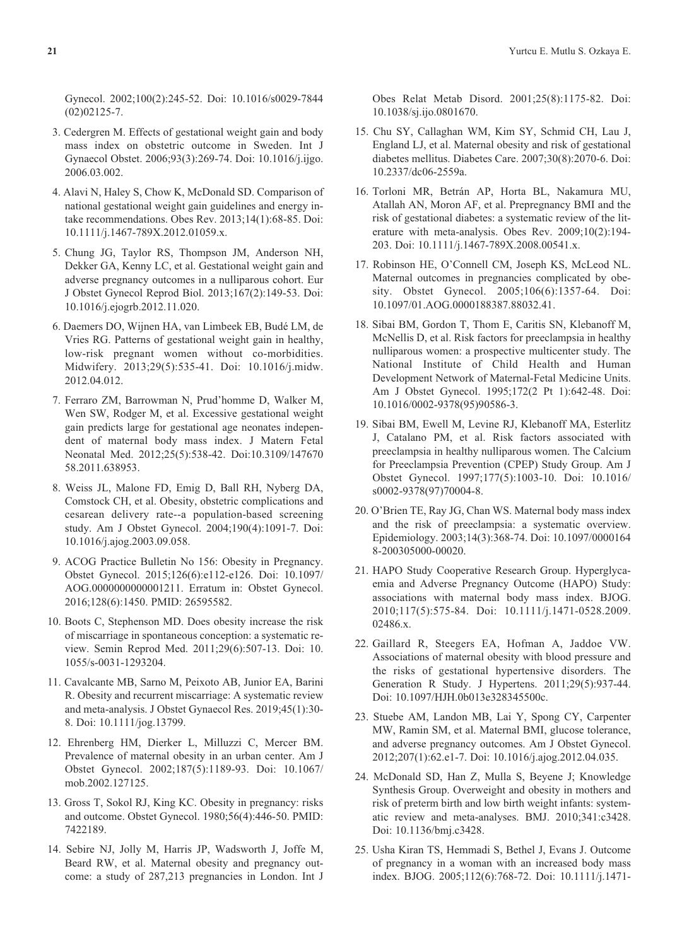Gynecol. 2002;100(2):245-52. Doi: 10.1016/s0029-7844 (02)02125-7.

- 3. Cedergren M. Effects of gestational weight gain and body mass index on obstetric outcome in Sweden. Int J Gynaecol Obstet. 2006;93(3):269-74. Doi: 10.1016/j.ijgo. 2006.03.002.
- 4. Alavi N, Haley S, Chow K, McDonald SD. Comparison of national gestational weight gain guidelines and energy intake recommendations. Obes Rev. 2013;14(1):68-85. Doi: 10.1111/j.1467-789X.2012.01059.x.
- 5. Chung JG, Taylor RS, Thompson JM, Anderson NH, Dekker GA, Kenny LC, et al. Gestational weight gain and adverse pregnancy outcomes in a nulliparous cohort. Eur J Obstet Gynecol Reprod Biol. 2013;167(2):149-53. Doi: 10.1016/j.ejogrb.2012.11.020.
- 6. Daemers DO, Wijnen HA, van Limbeek EB, Budé LM, de Vries RG. Patterns of gestational weight gain in healthy, low-risk pregnant women without co-morbidities. Midwifery. 2013;29(5):535-41. Doi: 10.1016/j.midw. 2012.04.012.
- 7. Ferraro ZM, Barrowman N, Prud'homme D, Walker M, Wen SW, Rodger M, et al. Excessive gestational weight gain predicts large for gestational age neonates independent of maternal body mass index. J Matern Fetal Neonatal Med. 2012;25(5):538-42. Doi:10.3109/147670 58.2011.638953.
- 8. Weiss JL, Malone FD, Emig D, Ball RH, Nyberg DA, Comstock CH, et al. Obesity, obstetric complications and cesarean delivery rate--a population-based screening study. Am J Obstet Gynecol. 2004;190(4):1091-7. Doi: 10.1016/j.ajog.2003.09.058.
- 9. ACOG Practice Bulletin No 156: Obesity in Pregnancy. Obstet Gynecol. 2015;126(6):e112-e126. Doi: 10.1097/ AOG.0000000000001211. Erratum in: Obstet Gynecol. 2016;128(6):1450. PMID: 26595582.
- 10. Boots C, Stephenson MD. Does obesity increase the risk of miscarriage in spontaneous conception: a systematic review. Semin Reprod Med. 2011;29(6):507-13. Doi: 10. 1055/s-0031-1293204.
- 11. Cavalcante MB, Sarno M, Peixoto AB, Junior EA, Barini R. Obesity and recurrent miscarriage: A systematic review and meta-analysis. J Obstet Gynaecol Res. 2019;45(1):30- 8. Doi: 10.1111/jog.13799.
- 12. Ehrenberg HM, Dierker L, Milluzzi C, Mercer BM. Prevalence of maternal obesity in an urban center. Am J Obstet Gynecol. 2002;187(5):1189-93. Doi: 10.1067/ mob.2002.127125.
- 13. Gross T, Sokol RJ, King KC. Obesity in pregnancy: risks and outcome. Obstet Gynecol. 1980;56(4):446-50. PMID: 7422189.
- 14. Sebire NJ, Jolly M, Harris JP, Wadsworth J, Joffe M, Beard RW, et al. Maternal obesity and pregnancy outcome: a study of 287,213 pregnancies in London. Int J

Obes Relat Metab Disord. 2001;25(8):1175-82. Doi: 10.1038/sj.ijo.0801670.

- 15. Chu SY, Callaghan WM, Kim SY, Schmid CH, Lau J, England LJ, et al. Maternal obesity and risk of gestational diabetes mellitus. Diabetes Care. 2007;30(8):2070-6. Doi: 10.2337/dc06-2559a.
- 16. Torloni MR, Betrán AP, Horta BL, Nakamura MU, Atallah AN, Moron AF, et al. Prepregnancy BMI and the risk of gestational diabetes: a systematic review of the literature with meta-analysis. Obes Rev. 2009;10(2):194- 203. Doi: 10.1111/j.1467-789X.2008.00541.x.
- 17. Robinson HE, O'Connell CM, Joseph KS, McLeod NL. Maternal outcomes in pregnancies complicated by obesity. Obstet Gynecol. 2005;106(6):1357-64. Doi: 10.1097/01.AOG.0000188387.88032.41.
- 18. Sibai BM, Gordon T, Thom E, Caritis SN, Klebanoff M, McNellis D, et al. Risk factors for preeclampsia in healthy nulliparous women: a prospective multicenter study. The National Institute of Child Health and Human Development Network of Maternal-Fetal Medicine Units. Am J Obstet Gynecol. 1995;172(2 Pt 1):642-48. Doi: 10.1016/0002-9378(95)90586-3.
- 19. Sibai BM, Ewell M, Levine RJ, Klebanoff MA, Esterlitz J, Catalano PM, et al. Risk factors associated with preeclampsia in healthy nulliparous women. The Calcium for Preeclampsia Prevention (CPEP) Study Group. Am J Obstet Gynecol. 1997;177(5):1003-10. Doi: 10.1016/ s0002-9378(97)70004-8.
- 20. O'Brien TE, Ray JG, Chan WS. Maternal body mass index and the risk of preeclampsia: a systematic overview. Epidemiology. 2003;14(3):368-74. Doi: 10.1097/0000164 8-200305000-00020.
- 21. HAPO Study Cooperative Research Group. Hyperglycaemia and Adverse Pregnancy Outcome (HAPO) Study: associations with maternal body mass index. BJOG. 2010;117(5):575-84. Doi: 10.1111/j.1471-0528.2009. 02486.x.
- 22. Gaillard R, Steegers EA, Hofman A, Jaddoe VW. Associations of maternal obesity with blood pressure and the risks of gestational hypertensive disorders. The Generation R Study. J Hypertens. 2011;29(5):937-44. Doi: 10.1097/HJH.0b013e328345500c.
- 23. Stuebe AM, Landon MB, Lai Y, Spong CY, Carpenter MW, Ramin SM, et al. Maternal BMI, glucose tolerance, and adverse pregnancy outcomes. Am J Obstet Gynecol. 2012;207(1):62.e1-7. Doi: 10.1016/j.ajog.2012.04.035.
- 24. McDonald SD, Han Z, Mulla S, Beyene J; Knowledge Synthesis Group. Overweight and obesity in mothers and risk of preterm birth and low birth weight infants: systematic review and meta-analyses. BMJ. 2010;341:c3428. Doi: 10.1136/bmj.c3428.
- 25. Usha Kiran TS, Hemmadi S, Bethel J, Evans J. Outcome of pregnancy in a woman with an increased body mass index. BJOG. 2005;112(6):768-72. Doi: 10.1111/j.1471-